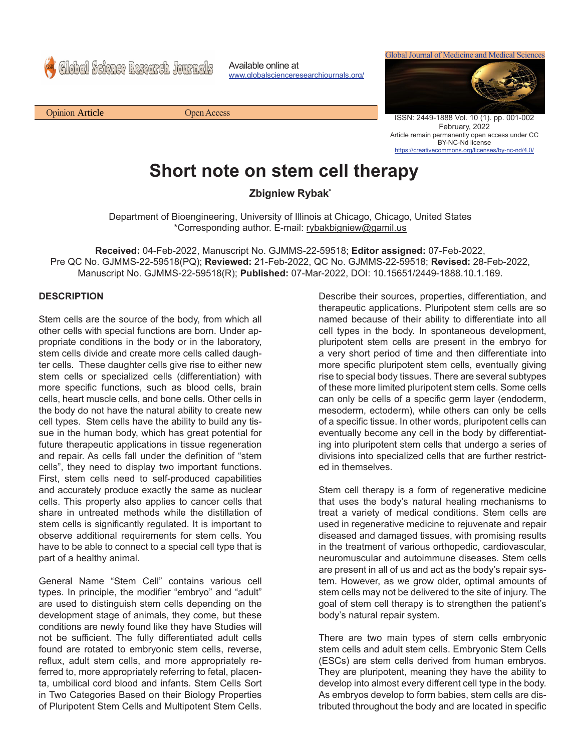Global Science Research Journals

Available online at www.globalscienceresearchjournals.org/ Global Journal of Medicine and Medical Sciences



ISSN: 2449-1888 Vol. 10 (1). pp. 001-002 February, 2022 Article remain permanently open access under CC BY-NC-Nd license https://creativecommons.org/licenses/by-nc-nd/4.0/

## **Short note on stem cell therapy**

**Zbigniew Rybak\***

Department of Bioengineering, University of Illinois at Chicago, Chicago, United States \*Corresponding author. E-mail: rybakbigniew@gamil.us

**Received:** 04-Feb-2022, Manuscript No. GJMMS-22-59518; **Editor assigned:** 07-Feb-2022, Pre QC No. GJMMS-22-59518(PQ); **Reviewed:** 21-Feb-2022, QC No. GJMMS-22-59518; **Revised:** 28-Feb-2022, Manuscript No. GJMMS-22-59518(R); **Published:** 07-Mar-2022, DOI: 10.15651/2449-1888.10.1.169.

## **DESCRIPTION**

Stem cells are the source of the body, from which all other cells with special functions are born. Under appropriate conditions in the body or in the laboratory, stem cells divide and create more cells called daughter cells. These daughter cells give rise to either new stem cells or specialized cells (differentiation) with more specific functions, such as blood cells, brain cells, heart muscle cells, and bone cells. Other cells in the body do not have the natural ability to create new cell types. Stem cells have the ability to build any tissue in the human body, which has great potential for future therapeutic applications in tissue regeneration and repair. As cells fall under the definition of "stem cells", they need to display two important functions. First, stem cells need to self-produced capabilities and accurately produce exactly the same as nuclear cells. This property also applies to cancer cells that share in untreated methods while the distillation of stem cells is significantly regulated. It is important to observe additional requirements for stem cells. You have to be able to connect to a special cell type that is part of a healthy animal.

General Name "Stem Cell" contains various cell types. In principle, the modifier "embryo" and "adult" are used to distinguish stem cells depending on the development stage of animals, they come, but these conditions are newly found like they have Studies will not be sufficient. The fully differentiated adult cells found are rotated to embryonic stem cells, reverse, reflux, adult stem cells, and more appropriately referred to, more appropriately referring to fetal, placenta, umbilical cord blood and infants. Stem Cells Sort in Two Categories Based on their Biology Properties of Pluripotent Stem Cells and Multipotent Stem Cells.

Describe their sources, properties, differentiation, and therapeutic applications. Pluripotent stem cells are so named because of their ability to differentiate into all cell types in the body. In spontaneous development, pluripotent stem cells are present in the embryo for a very short period of time and then differentiate into more specific pluripotent stem cells, eventually giving rise to special body tissues. There are several subtypes of these more limited pluripotent stem cells. Some cells can only be cells of a specific germ layer (endoderm, mesoderm, ectoderm), while others can only be cells of a specific tissue. In other words, pluripotent cells can eventually become any cell in the body by differentiating into pluripotent stem cells that undergo a series of divisions into specialized cells that are further restricted in themselves.

Stem cell therapy is a form of regenerative medicine that uses the body's natural healing mechanisms to treat a variety of medical conditions. Stem cells are used in regenerative medicine to rejuvenate and repair diseased and damaged tissues, with promising results in the treatment of various orthopedic, cardiovascular, neuromuscular and autoimmune diseases. Stem cells are present in all of us and act as the body's repair system. However, as we grow older, optimal amounts of stem cells may not be delivered to the site of injury. The goal of stem cell therapy is to strengthen the patient's body's natural repair system.

There are two main types of stem cells embryonic stem cells and adult stem cells. Embryonic Stem Cells (ESCs) are stem cells derived from human embryos. They are pluripotent, meaning they have the ability to develop into almost every different cell type in the body. As embryos develop to form babies, stem cells are distributed throughout the body and are located in specific

Opinion Open Access Article